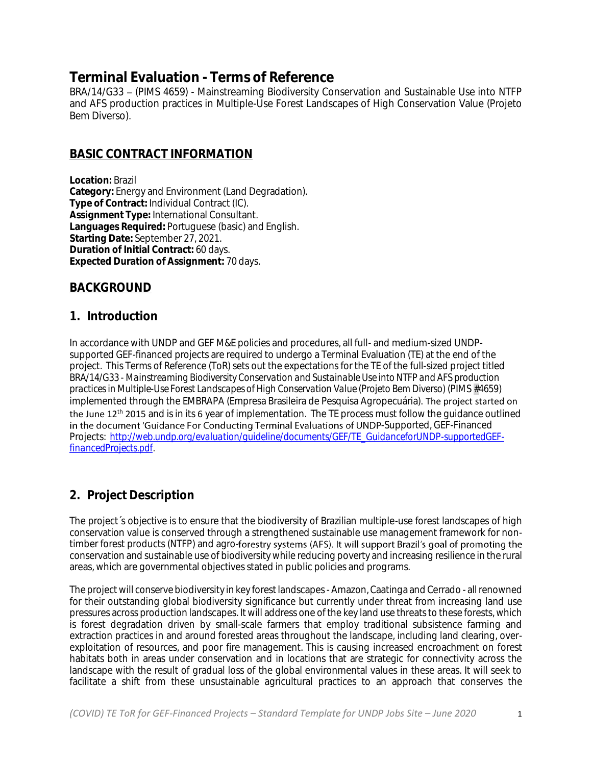# **Terminal Evaluation - Terms of Reference**

BRA/14/G33 - (PIMS 4659) - Mainstreaming Biodiversity Conservation and Sustainable Use into NTFP and AFS production practices in Multiple-Use Forest Landscapes of High Conservation Value (Projeto Bem Diverso).

### **BASIC CONTRACT INFORMATION**

**Location:** Brazil **Category:** Energy and Environment (Land Degradation). **Type of Contract:** Individual Contract (IC). **Assignment Type:** International Consultant. **Languages Required:** Portuguese (basic) and English. **Starting Date:** September 27, 2021. **Duration of Initial Contract:** 60 days. **Expected Duration of Assignment:** 70 days.

## **BACKGROUND**

#### **1. Introduction**

In accordance with UNDP and GEF M&E policies and procedures, all full- and medium-sized UNDPsupported GEF-financed projects are required to undergo a Terminal Evaluation (TE) at the end of the project. This Terms of Reference (ToR) sets out the expectations for the TE of the full-sized project titled *BRA/14/G33 - Mainstreaming Biodiversity Conservation and Sustainable Use into NTFP and AFS production practices in Multiple-Use Forest Landscapes of High Conservation Value (Projeto Bem Diverso)* (PIMS *#4659*) implemented through the EMBRAPA (Empresa Brasileira de Pesquisa Agropecuária). The project started on the June 12<sup>th</sup> 2015 and is in its 6 year of implementation. The TE process must follow the quidance outlined in the document 'Guidance For Conducting Terminal Evaluations of UNDP-Supported, GEF-Financed Projects: *[http://web.undp.org/evaluation/guideline/documents/GEF/TE\\_GuidanceforUNDP-supportedGEF](http://web.undp.org/evaluation/guideline/documents/GEF/TE_GuidanceforUNDP-supportedGEF-financedProjects.pdf)[financedProjects.pdf.](http://web.undp.org/evaluation/guideline/documents/GEF/TE_GuidanceforUNDP-supportedGEF-financedProjects.pdf)*

# **2. Project Description**

The project´s objective is to ensure that the biodiversity of Brazilian multiple-use forest landscapes of high conservation value is conserved through a strengthened sustainable use management framework for nontimber forest products (NTFP) and agro-forestry systems (AFS). It will support Brazil's goal of promoting the conservation and sustainable use of biodiversity while reducing poverty and increasing resilience in the rural areas, which are governmental objectives stated in public policies and programs.

The project will conserve biodiversity in key forest landscapes - Amazon, Caatinga and Cerrado - all renowned for their outstanding global biodiversity significance but currently under threat from increasing land use pressures across production landscapes. It will address one of the key land use threats to these forests, which is forest degradation driven by small-scale farmers that employ traditional subsistence farming and extraction practices in and around forested areas throughout the landscape, including land clearing, overexploitation of resources, and poor fire management. This is causing increased encroachment on forest habitats both in areas under conservation and in locations that are strategic for connectivity across the landscape with the result of gradual loss of the global environmental values in these areas. It will seek to facilitate a shift from these unsustainable agricultural practices to an approach that conserves the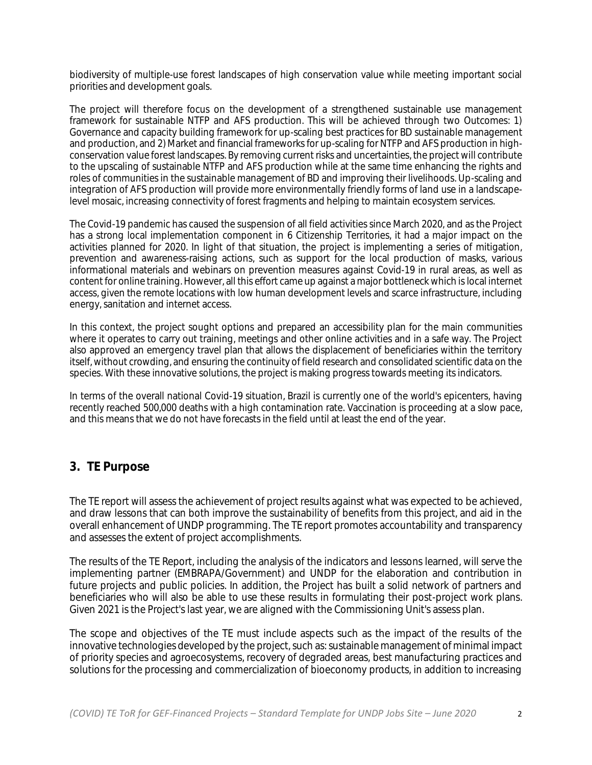biodiversity of multiple-use forest landscapes of high conservation value while meeting important social priorities and development goals.

The project will therefore focus on the development of a strengthened sustainable use management framework for sustainable NTFP and AFS production. This will be achieved through two Outcomes: 1) Governance and capacity building framework for up-scaling best practices for BD sustainable management and production, and 2) Market and financial frameworks for up-scaling for NTFP and AFS production in highconservation value forest landscapes. By removing current risks and uncertainties, the project will contribute to the upscaling of sustainable NTFP and AFS production while at the same time enhancing the rights and roles of communities in the sustainable management of BD and improving their livelihoods. Up-scaling and integration of AFS production will provide more environmentally friendly forms of land use in a landscapelevel mosaic, increasing connectivity of forest fragments and helping to maintain ecosystem services.

The Covid-19 pandemic has caused the suspension of all field activities since March 2020, and as the Project has a strong local implementation component in 6 Citizenship Territories, it had a major impact on the activities planned for 2020. In light of that situation, the project is implementing a series of mitigation, prevention and awareness-raising actions, such as support for the local production of masks, various informational materials and webinars on prevention measures against Covid-19 in rural areas, as well as content for online training. However, all this effort came up against a major bottleneck which is local internet access, given the remote locations with low human development levels and scarce infrastructure, including energy, sanitation and internet access.

In this context, the project sought options and prepared an accessibility plan for the main communities where it operates to carry out training, meetings and other online activities and in a safe way. The Project also approved an emergency travel plan that allows the displacement of beneficiaries within the territory itself, without crowding, and ensuring the continuity of field research and consolidated scientific data on the species. With these innovative solutions, the project is making progress towards meeting its indicators.

In terms of the overall national Covid-19 situation, Brazil is currently one of the world's epicenters, having recently reached 500,000 deaths with a high contamination rate. Vaccination is proceeding at a slow pace, and this means that we do not have forecasts in the field until at least the end of the year.

## **3. TE Purpose**

The TE report will assess the achievement of project results against what was expected to be achieved, and draw lessons that can both improve the sustainability of benefits from this project, and aid in the overall enhancement of UNDP programming. The TE report promotes accountability and transparency and assesses the extent of project accomplishments.

The results of the TE Report, including the analysis of the indicators and lessons learned, will serve the implementing partner (EMBRAPA/Government) and UNDP for the elaboration and contribution in future projects and public policies. In addition, the Project has built a solid network of partners and beneficiaries who will also be able to use these results in formulating their post-project work plans. Given 2021 is the Project's last year, we are aligned with the Commissioning Unit's assess plan.

The scope and objectives of the TE must include aspects such as the impact of the results of the innovative technologies developed by the project, such as: sustainable management of minimal impact of priority species and agroecosystems, recovery of degraded areas, best manufacturing practices and solutions for the processing and commercialization of bioeconomy products, in addition to increasing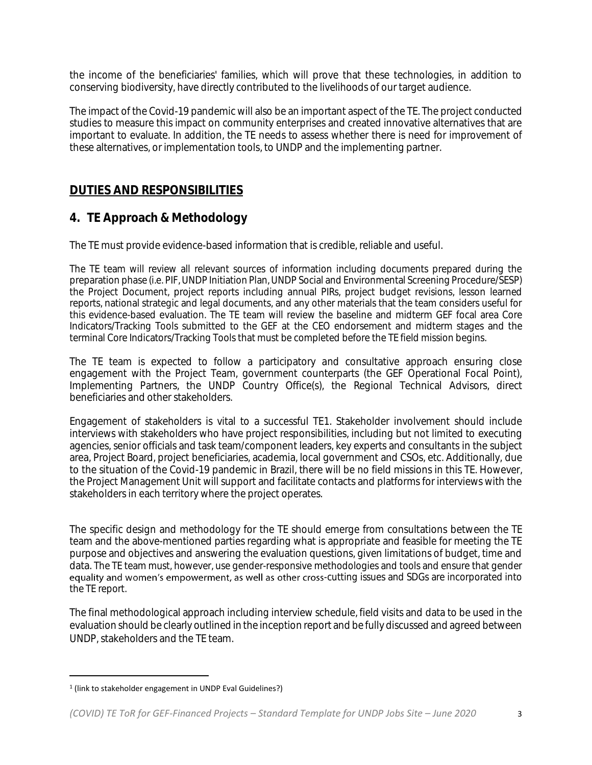the income of the beneficiaries' families, which will prove that these technologies, in addition to conserving biodiversity, have directly contributed to the livelihoods of our target audience.

The impact of the Covid-19 pandemic will also be an important aspect of the TE. The project conducted studies to measure this impact on community enterprises and created innovative alternatives that are important to evaluate. In addition, the TE needs to assess whether there is need for improvement of these alternatives, or implementation tools, to UNDP and the implementing partner.

#### **DUTIES AND RESPONSIBILITIES**

#### **4. TE Approach & Methodology**

The TE must provide evidence-based information that is credible, reliable and useful.

The TE team will review all relevant sources of information including documents prepared during the preparation phase (i.e. PIF, UNDP Initiation Plan, UNDP Social and Environmental Screening Procedure/SESP) the Project Document, project reports including annual PIRs, project budget revisions, lesson learned reports, national strategic and legal documents, and any other materials that the team considers useful for this evidence-based evaluation. The TE team will review the baseline and midterm GEF focal area Core Indicators/Tracking Tools submitted to the GEF at the CEO endorsement and midterm stages and the terminal Core Indicators/Tracking Tools that must be completed before the TE field mission begins.

The TE team is expected to follow a participatory and consultative approach ensuring close engagement with the Project Team, government counterparts (the GEF Operational Focal Point), Implementing Partners, the UNDP Country Office(s), the Regional Technical Advisors, direct beneficiaries and other stakeholders.

Engagement of stakeholders is vital to a successful TE1. Stakeholder involvement should include interviews with stakeholders who have project responsibilities, including but not limited to executing agencies, senior officials and task team/component leaders, key experts and consultants in the subject area, Project Board, project beneficiaries, academia, local government and CSOs, etc. Additionally, due to the situation of the Covid-19 pandemic in Brazil, there will be no field missions in this TE. However, the Project Management Unit will support and facilitate contacts and platforms for interviews with the stakeholders in each territory where the project operates.

The specific design and methodology for the TE should emerge from consultations between the TE team and the above-mentioned parties regarding what is appropriate and feasible for meeting the TE purpose and objectives and answering the evaluation questions, given limitations of budget, time and data. The TE team must, however, use gender-responsive methodologies and tools and ensure that gender equality and women's empowerment, as well as other cross-cutting issues and SDGs are incorporated into the TE report.

The final methodological approach including interview schedule, field visits and data to be used in the evaluation should be clearly outlined in the inception report and be fully discussed and agreed between UNDP, stakeholders and the TE team.

<sup>1</sup> (link to stakeholder engagement in UNDP Eval Guidelines?)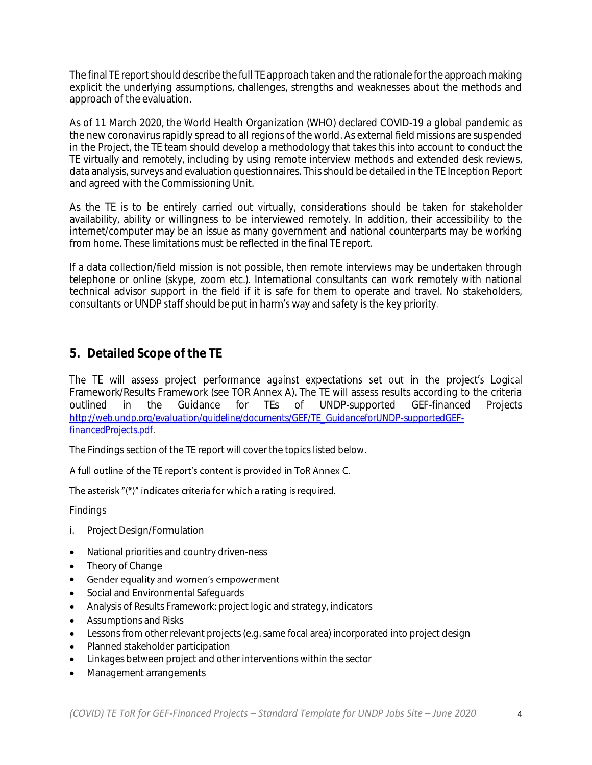The final TE report should describe the full TE approach taken and the rationale for the approach making explicit the underlying assumptions, challenges, strengths and weaknesses about the methods and approach of the evaluation.

As of 11 March 2020, the World Health Organization (WHO) declared COVID-19 a global pandemic as the new coronavirus rapidly spread to all regions of the world. As external field missions are suspended in the Project, the TE team should develop a methodology that takes this into account to conduct the TE virtually and remotely, including by using remote interview methods and extended desk reviews, data analysis, surveys and evaluation questionnaires. This should be detailed in the TE Inception Report and agreed with the Commissioning Unit.

As the TE is to be entirely carried out virtually, considerations should be taken for stakeholder availability, ability or willingness to be interviewed remotely. In addition, their accessibility to the internet/computer may be an issue as many government and national counterparts may be working from home. These limitations must be reflected in the final TE report.

If a data collection/field mission is not possible, then remote interviews may be undertaken through telephone or online (skype, zoom etc.). International consultants can work remotely with national technical advisor support in the field if it is safe for them to operate and travel. No stakeholders, consultants or UNDP staff should be put in harm's way and safety is the key priority.

#### **5. Detailed Scope of the TE**

The TE will assess project performance against expectations set out in the project's Logical Framework/Results Framework (see TOR Annex A). The TE will assess results according to the criteria<br>
outlined in the Guidance for TEs of UNDP-supported GEF-financed Projects outlined in the Guidance for TEs of UNDP-supported GEF-financed Projects *[http://web.undp.org/evaluation/guideline/documents/GEF/TE\\_GuidanceforUNDP-supportedGEF](http://web.undp.org/evaluation/guideline/documents/GEF/TE_GuidanceforUNDP-supportedGEF-financedProjects.pdf)[financedProjects.pdf.](http://web.undp.org/evaluation/guideline/documents/GEF/TE_GuidanceforUNDP-supportedGEF-financedProjects.pdf)*

The Findings section of the TE report will cover the topics listed below.

#### A full outline of the TE report's content is provided in ToR Annex C.

#### The asterisk "(\*)" indicates criteria for which a rating is required.

Findings

- i. Project Design/Formulation
- National priorities and country driven-ness
- Theory of Change
- Gender equality and women's empowerment •
- Social and Environmental Safeguards
- Analysis of Results Framework: project logic and strategy, indicators
- Assumptions and Risks
- Lessons from other relevant projects (e.g. same focal area) incorporated into project design
- Planned stakeholder participation
- Linkages between project and other interventions within the sector
- Management arrangements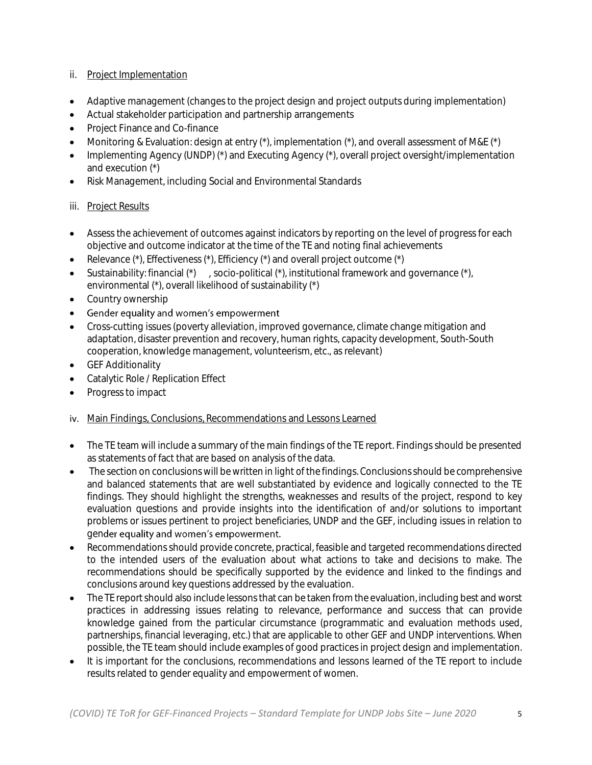#### ii. Project Implementation

- Adaptive management (changes to the project design and project outputs during implementation)
- Actual stakeholder participation and partnership arrangements
- Project Finance and Co-finance
- Monitoring & Evaluation: design at entry (\*), implementation (\*), and overall assessment of M&E (\*)
- Implementing Agency (UNDP) (\*) and Executing Agency (\*), overall project oversight/implementation and execution (\*)
- Risk Management, including Social and Environmental Standards

#### iii. Project Results

- Assess the achievement of outcomes against indicators by reporting on the level of progress for each objective and outcome indicator at the time of the TE and noting final achievements
- Relevance  $(*)$ , Effectiveness  $(*)$ , Efficiency  $(*)$  and overall project outcome  $(*)$
- Sustainability: financial (\*) , socio-political (\*), institutional framework and governance (\*), environmental (\*), overall likelihood of sustainability (\*)
- Country ownership
- Gender equality and women's empowerment •
- Cross-cutting issues (poverty alleviation, improved governance, climate change mitigation and adaptation, disaster prevention and recovery, human rights, capacity development, South-South cooperation, knowledge management, volunteerism, etc., as relevant)
- **GEF Additionality**
- Catalytic Role / Replication Effect
- Progress to impact
- iv. Main Findings, Conclusions, Recommendations and Lessons Learned
- The TE team will include a summary of the main findings of the TE report. Findings should be presented as statements of fact that are based on analysis of the data.
- The section on conclusions will be written in light of the findings. Conclusions should be comprehensive and balanced statements that are well substantiated by evidence and logically connected to the TE findings. They should highlight the strengths, weaknesses and results of the project, respond to key evaluation questions and provide insights into the identification of and/or solutions to important problems or issues pertinent to project beneficiaries, UNDP and the GEF, including issues in relation to gender equality and women's empowerment.
- Recommendations should provide concrete, practical, feasible and targeted recommendations directed to the intended users of the evaluation about what actions to take and decisions to make. The recommendations should be specifically supported by the evidence and linked to the findings and conclusions around key questions addressed by the evaluation.
- The TE report should also include lessons that can be taken from the evaluation, including best and worst practices in addressing issues relating to relevance, performance and success that can provide knowledge gained from the particular circumstance (programmatic and evaluation methods used, partnerships, financial leveraging, etc.) that are applicable to other GEF and UNDP interventions. When possible, the TE team should include examples of good practices in project design and implementation.
- It is important for the conclusions, recommendations and lessons learned of the TE report to include results related to gender equality and empowerment of women.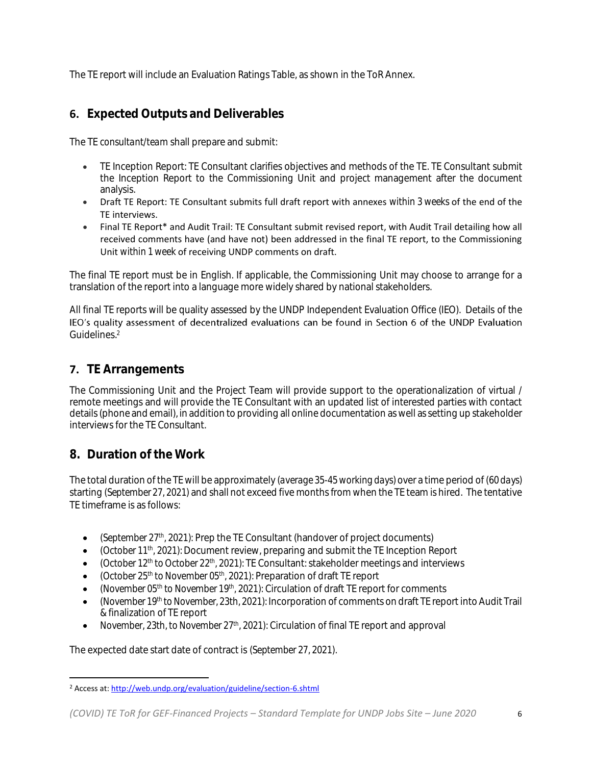The TE report will include an Evaluation Ratings Table, as shown in the ToR Annex.

# **6. Expected Outputs and Deliverables**

The TE *consultant/team* shall prepare and submit:

- TE Inception Report: TE Consultant clarifies objectives and methods of the TE. TE Consultant submit the Inception Report to the Commissioning Unit and project management after the document analysis.
- Draft TE Report: TE Consultant submits full draft report with annexes *within 3 weeks* of the end of the TE interviews.
- Final TE Report\* and Audit Trail: TE Consultant submit revised report, with Audit Trail detailing how all received comments have (and have not) been addressed in the final TE report, to the Commissioning Unit *within 1 week* of receiving UNDP comments on draft.

The final TE report must be in English. If applicable, the Commissioning Unit may choose to arrange for a translation of the report into a language more widely shared by national stakeholders.

All final TE reports will be quality assessed by the UNDP Independent Evaluation Office (IEO). Details of the IEO's quality assessment of decentralized evaluations can be found in Section 6 of the UNDP Evaluation Guidelines. 2

## **7. TE Arrangements**

The Commissioning Unit and the Project Team will provide support to the operationalization of virtual / remote meetings and will provide the TE Consultant with an updated list of interested parties with contact details (phone and email), in addition to providing all online documentation as well as setting up stakeholder interviews for the TE Consultant.

## **8. Duration of the Work**

The total duration of the TE will be approximately *(average 35-45 working days)* over a time period of *(60 days)* starting *(September 27, 2021)* and shall not exceed five months from when the TE team is hired. The tentative TE timeframe is as follows:

- *(September 27th, 2021):* Prep the TE Consultant (handover of project documents)
- *(October 11<sup>th</sup>, 2021):* Document review, preparing and submit the TE Inception Report
- *(October 12 th to October 22th, 2021):* TE Consultant: stakeholder meetings and interviews
- *(October 25 th to November 05th, 2021)*: Preparation of draft TE report
- *(November 05<sup>th</sup> to November 19<sup>th</sup>, 2021):* Circulation of draft TE report for comments
- *(November 19 th to November, 23th, 2021):* Incorporation of comments on draft TE report into Audit Trail & finalization of TE report
- *November, 23th, to November 27th, 2021):* Circulation of final TE report and approval

The expected date start date of contract is *(September 27, 2021).*

<sup>2</sup> Access at[: http://web.undp.org/evaluation/guideline/section-6.shtml](http://web.undp.org/evaluation/guideline/section-6.shtml)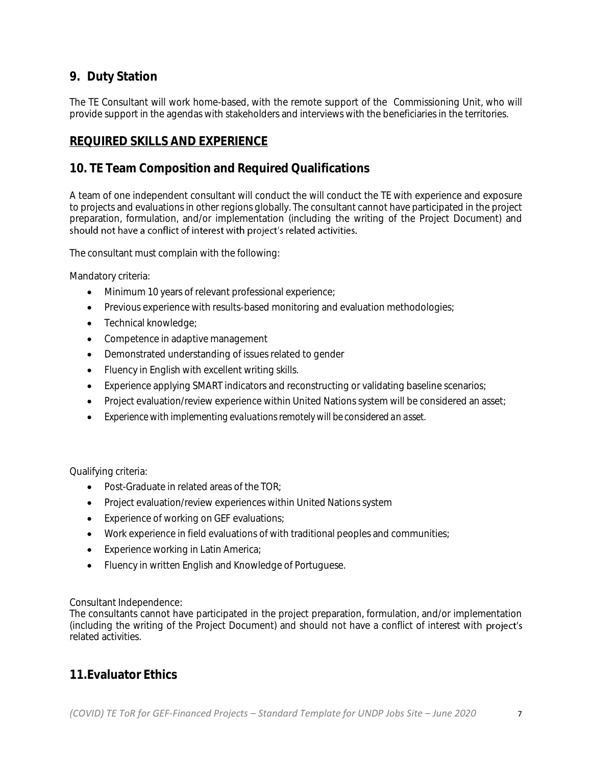## **9. Duty Station**

The TE Consultant will work home-based, with the remote support of the Commissioning Unit, who will provide support in the agendas with stakeholders and interviews with the beneficiaries in the territories.

### **REQUIRED SKILLS AND EXPERIENCE**

## **10. TE Team Composition and Required Qualifications**

A team of one independent consultant will conduct the will conduct the TE with experience and exposure to projects and evaluations in other regions globally. The consultant cannot have participated in the project preparation, formulation, and/or implementation (including the writing of the Project Document) and should not have a conflict of interest with project's related activities.

The consultant must complain with the following:

Mandatory criteria:

- Minimum 10 years of relevant professional experience;
- Previous experience with results-based monitoring and evaluation methodologies;
- Technical knowledge;
- Competence in adaptive management
- Demonstrated understanding of issues related to gender
- Fluency in English with excellent writing skills.
- Experience applying SMART indicators and reconstructing or validating baseline scenarios;
- Project evaluation/review experience within United Nations system will be considered an asset;
- *Experience* with *implementing evaluations remotely will be considered an asset.*

Qualifying criteria:

- Post-Graduate in related areas of the TOR:
- Project evaluation/review experiences within United Nations system
- Experience of working on GEF evaluations;
- Work experience in field evaluations of with traditional peoples and communities;
- Experience working in Latin America;
- Fluency in written English and Knowledge of Portuguese.

Consultant Independence:

The consultants cannot have participated in the project preparation, formulation, and/or implementation (including the writing of the Project Document) and should not have a conflict of interest with project's related activities.

### **11.Evaluator Ethics**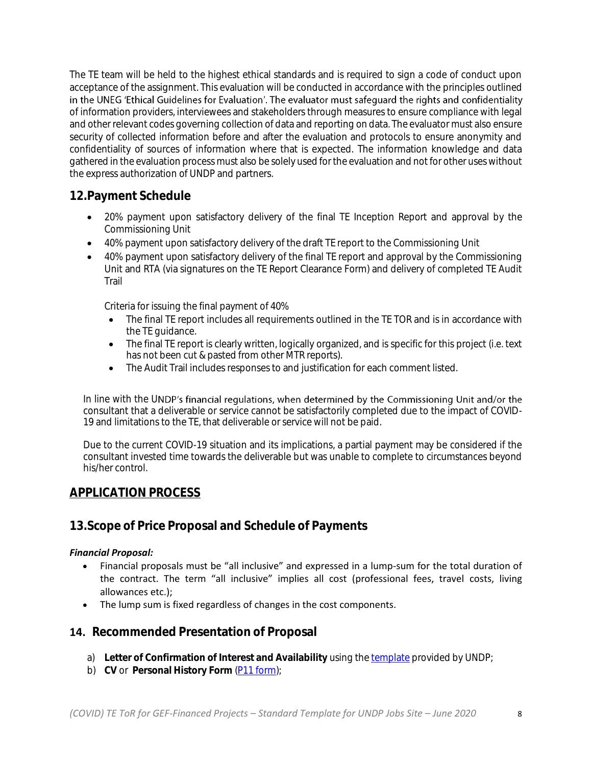The TE team will be held to the highest ethical standards and is required to sign a code of conduct upon acceptance of the assignment. This evaluation will be conducted in accordance with the principles outlined in the UNEG 'Ethical Guidelines for Evaluation'. The evaluator must safeguard the rights and confidentiality of information providers, interviewees and stakeholders through measures to ensure compliance with legal and other relevant codes governing collection of data and reporting on data. The evaluator must also ensure security of collected information before and after the evaluation and protocols to ensure anonymity and confidentiality of sources of information where that is expected. The information knowledge and data gathered in the evaluation process must also be solely used for the evaluation and not for other uses without the express authorization of UNDP and partners.

## **12.Payment Schedule**

- 20% payment upon satisfactory delivery of the final TE Inception Report and approval by the Commissioning Unit
- 40% payment upon satisfactory delivery of the draft TE report to the Commissioning Unit
- 40% payment upon satisfactory delivery of the final TE report and approval by the Commissioning Unit and RTA (via signatures on the TE Report Clearance Form) and delivery of completed TE Audit Trail

Criteria for issuing the final payment of 40%

- The final TE report includes all requirements outlined in the TE TOR and is in accordance with the TE guidance.
- The final TE report is clearly written, logically organized, and is specific for this project (i.e. text has not been cut & pasted from other MTR reports).
- The Audit Trail includes responses to and justification for each comment listed.

In line with the UNDP's financial regulations, when determined by the Commissioning Unit and/or the consultant that a deliverable or service cannot be satisfactorily completed due to the impact of COVID-19 and limitations to the TE, that deliverable or service will not be paid.

Due to the current COVID-19 situation and its implications, a partial payment may be considered if the consultant invested time towards the deliverable but was unable to complete to circumstances beyond his/her control.

### **APPLICATION PROCESS**

### **13.Scope of Price Proposal and Schedule of Payments**

#### *Financial Proposal:*

- Financial proposals must be "all inclusive" and expressed in a lump-sum for the total duration of the contract. The term "all inclusive" implies all cost (professional fees, travel costs, living allowances etc.);
- The lump sum is fixed regardless of changes in the cost components.

#### **14. Recommended Presentation of Proposal**

- a) **Letter of Confirmation of Interest and Availability** using the [template](https://intranet.undp.org/unit/bom/pso/Support%20documents%20on%20IC%20Guidelines/Template%20for%20Confirmation%20of%20Interest%20and%20Submission%20of%20Financial%20Proposal.docx) provided by UNDP;
- b) **CV** or **Personal History Form** [\(P11 form\)](http://www.undp.org/content/dam/undp/library/corporate/Careers/P11_Personal_history_form.doc);